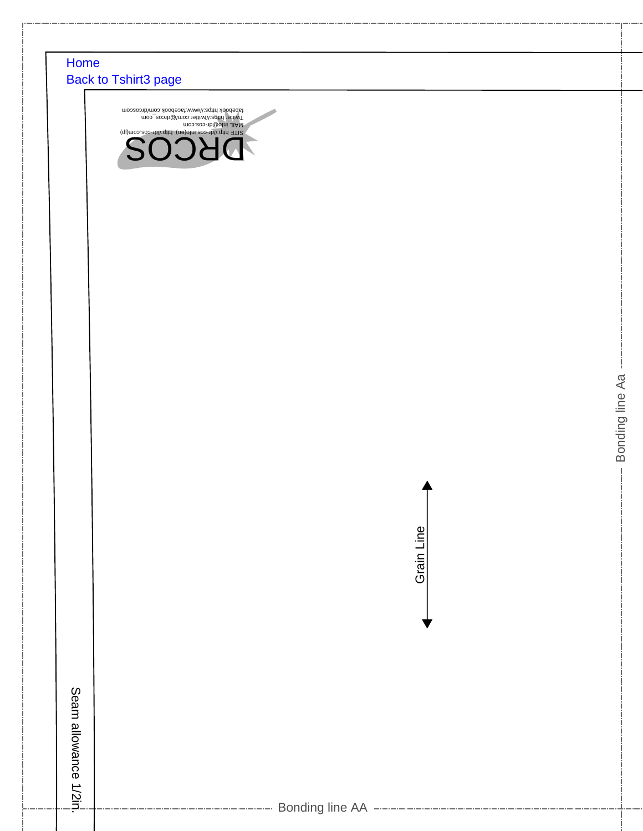## [Home](http://dr-cos.info/) [Back to Tshirt3 page](http://www.dr-cos.info/fp-tshirt3.html)

Seam allowance 1/2in.

Seam allowance 1/2iri.





Bonding line Aa

Bonding line Aa

Bonding line AA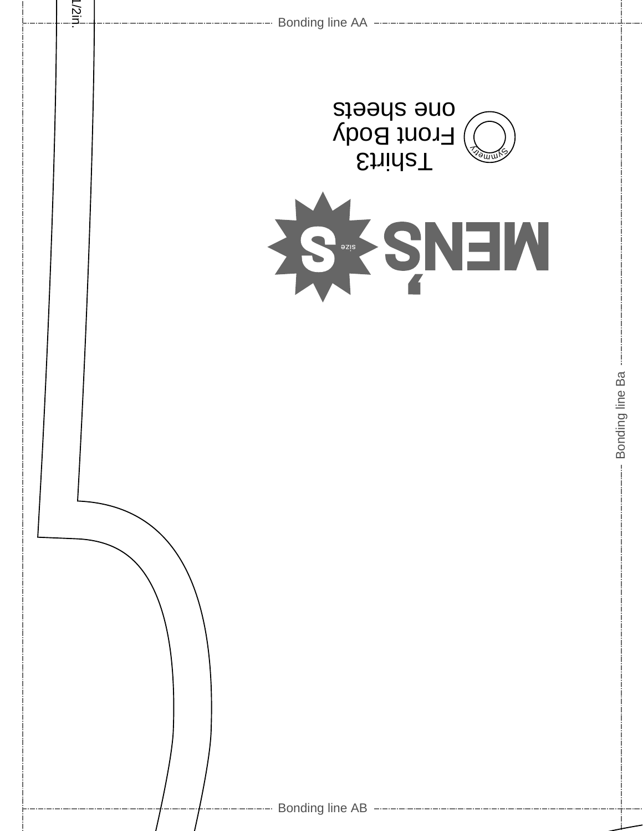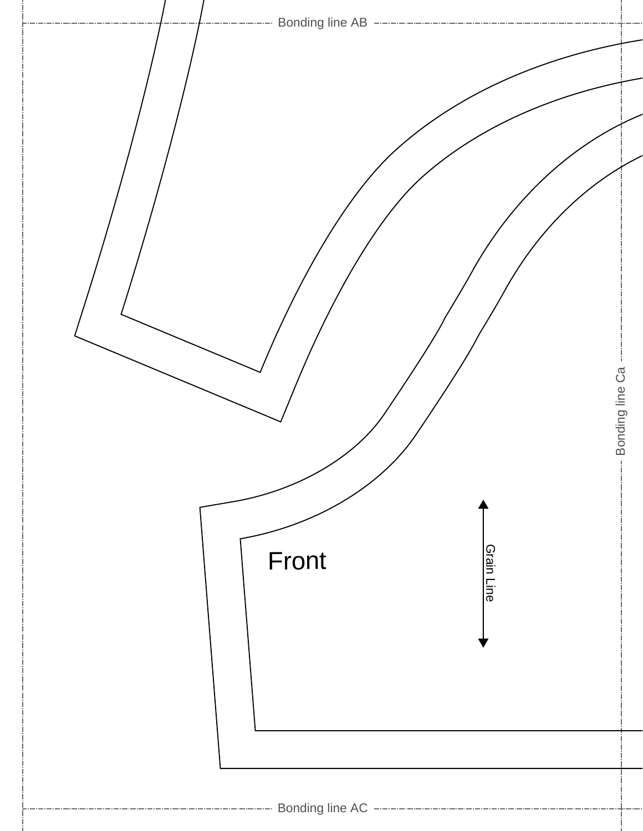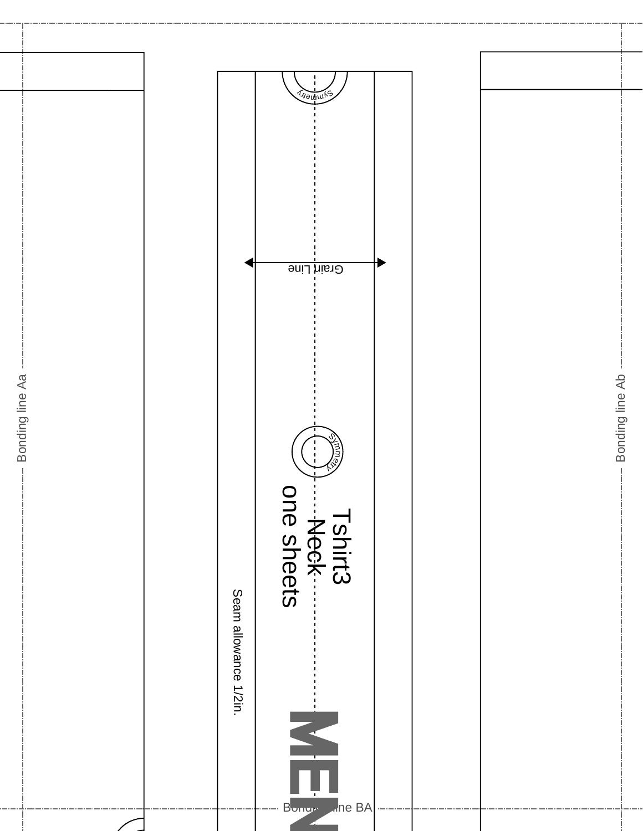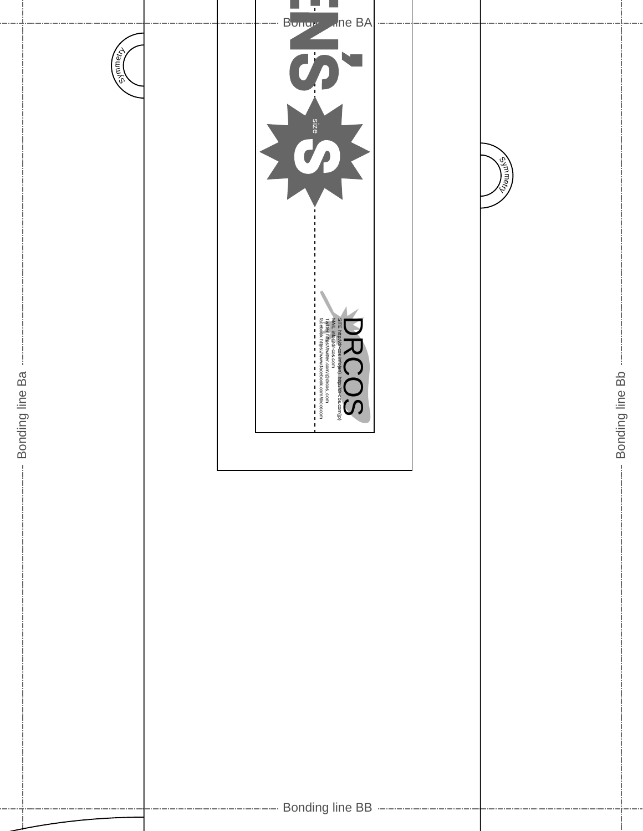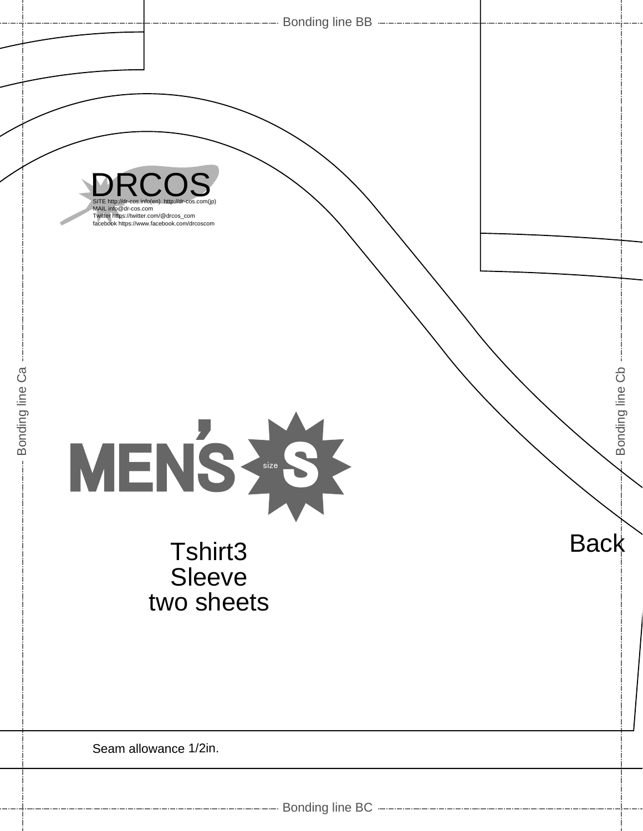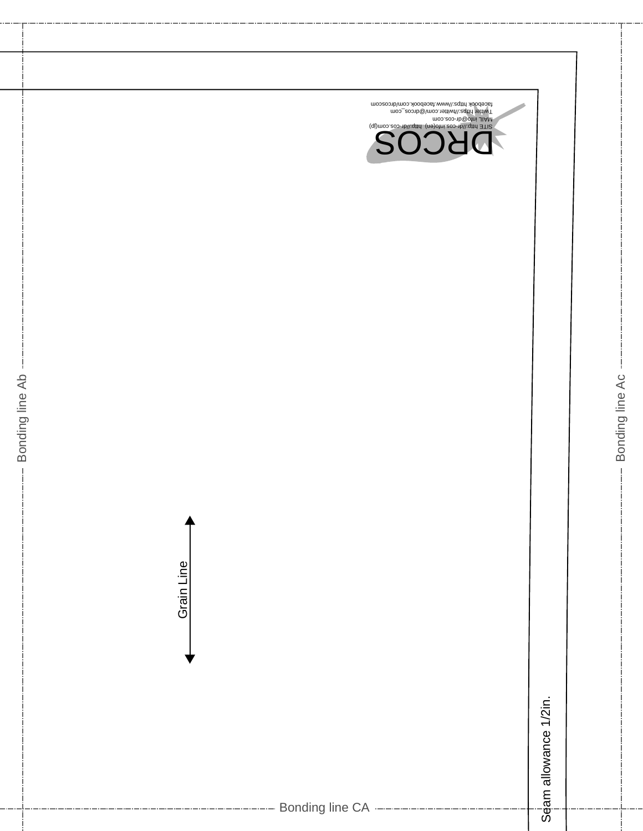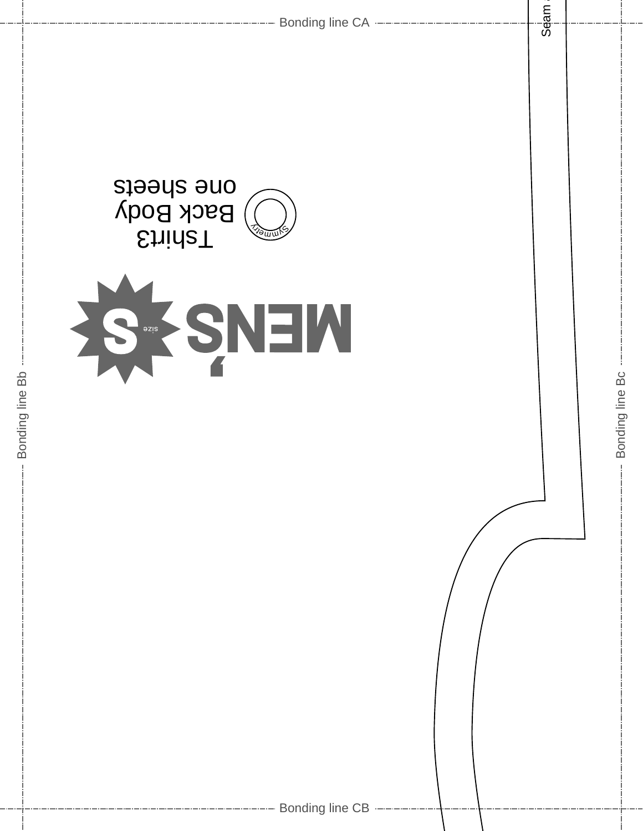